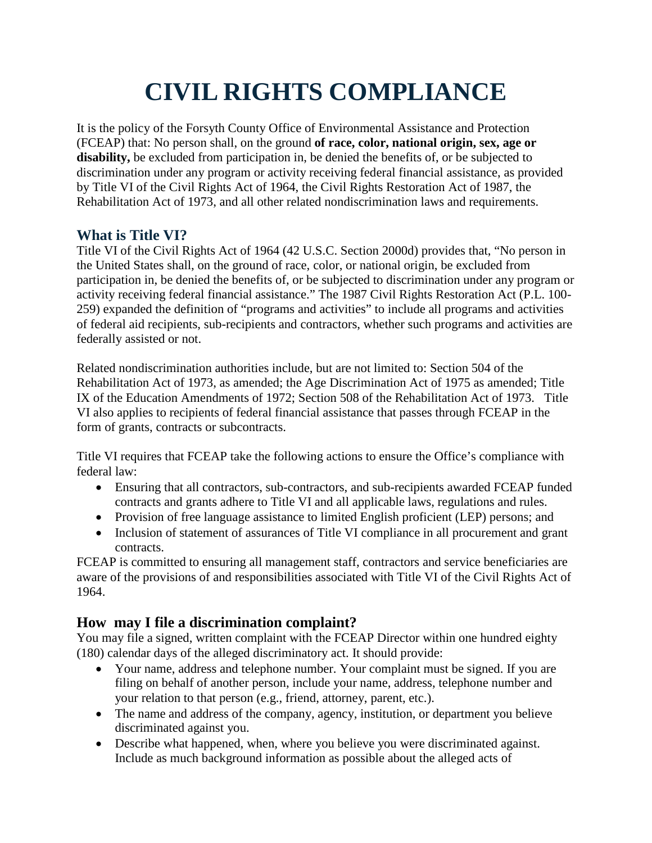## **CIVIL RIGHTS COMPLIANCE**

It is the policy of the Forsyth County Office of Environmental Assistance and Protection (FCEAP) that: No person shall, on the ground **of race, color, national origin, sex, age or disability,** be excluded from participation in, be denied the benefits of, or be subjected to discrimination under any program or activity receiving federal financial assistance, as provided by Title VI of the Civil Rights Act of 1964, the Civil Rights Restoration Act of 1987, the Rehabilitation Act of 1973, and all other related nondiscrimination laws and requirements.

## **What is Title VI?**

Title VI of the Civil Rights Act of 1964 (42 U.S.C. Section 2000d) provides that, "No person in the United States shall, on the ground of race, color, or national origin, be excluded from participation in, be denied the benefits of, or be subjected to discrimination under any program or activity receiving federal financial assistance." The 1987 Civil Rights Restoration Act (P.L. 100- 259) expanded the definition of "programs and activities" to include all programs and activities of federal aid recipients, sub-recipients and contractors, whether such programs and activities are federally assisted or not.

Related nondiscrimination authorities include, but are not limited to: Section 504 of the Rehabilitation Act of 1973, as amended; the Age Discrimination Act of 1975 as amended; Title IX of the Education Amendments of 1972; Section 508 of the Rehabilitation Act of 1973. Title VI also applies to recipients of federal financial assistance that passes through FCEAP in the form of grants, contracts or subcontracts.

Title VI requires that FCEAP take the following actions to ensure the Office's compliance with federal law:

- Ensuring that all contractors, sub-contractors, and sub-recipients awarded FCEAP funded contracts and grants adhere to Title VI and all applicable laws, regulations and rules.
- Provision of free language assistance to limited English proficient (LEP) persons; and
- Inclusion of statement of assurances of Title VI compliance in all procurement and grant contracts.

FCEAP is committed to ensuring all management staff, contractors and service beneficiaries are aware of the provisions of and responsibilities associated with Title VI of the Civil Rights Act of 1964.

## **How may I file a discrimination complaint?**

You may file a signed, written complaint with the FCEAP Director within one hundred eighty (180) calendar days of the alleged discriminatory act. It should provide:

- Your name, address and telephone number. Your complaint must be signed. If you are filing on behalf of another person, include your name, address, telephone number and your relation to that person (e.g., friend, attorney, parent, etc.).
- The name and address of the company, agency, institution, or department you believe discriminated against you.
- Describe what happened, when, where you believe you were discriminated against. Include as much background information as possible about the alleged acts of